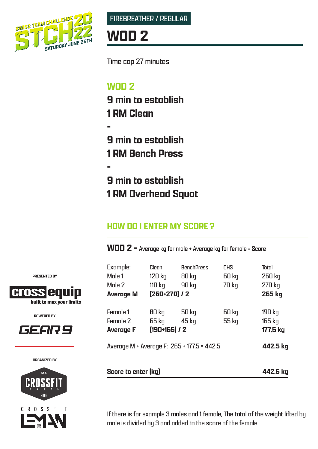



## **WOD 2**

Time cap 27 minutes

## **WOD 2**

**-**

**-**

**9 min to establish 1 RM Clean**

**9 min to establish 1 RM Bench Press**

**9 min to establish 1 RM Overhead Squat**

### **HOW DO I ENTER MY SCORE?**

**WOD 2** = Average kg for male + Average kg for female = Score

| Example:                                   | Clean           | <b>BenchPress</b> | OHS          | Total         |
|--------------------------------------------|-----------------|-------------------|--------------|---------------|
| Male 1                                     | 120 kg          | 80 kg             | 60 kg        | 260 kg        |
| Male 2                                     | <b>110 kg</b>   | <b>90 kg</b>      | <b>70 kg</b> | 270 kg        |
| <b>Average M</b>                           | $[260+270]$ / 2 |                   |              | <b>265 kg</b> |
| Female 1                                   | 80 kg           | <b>50 kg</b>      | <b>60 kg</b> | 190 kg        |
| <b>Female 2</b>                            | 65 kg           | 45 kg             | 55 kg        | 165 kg        |
| <b>Average F</b>                           | $[190+165]$ / 2 |                   |              | 177,5 kg      |
| Average M + Average F: 265 + 177.5 = 442.5 |                 |                   |              | 442.5 kg      |
|                                            |                 |                   |              |               |
| Score to enter [kq]                        |                 |                   |              | 442.5 kg      |

If there is for example 3 males and 1 female, The total of the weight lifted by male is divided by 3 and added to the score of the female

**PRESENTED BY**



**POWERED BY**



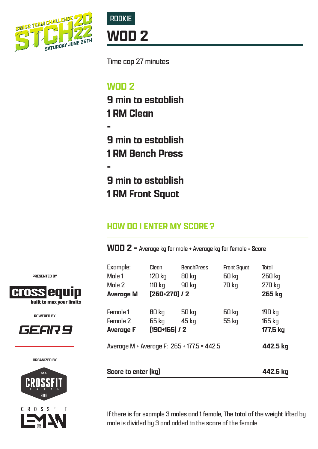



Time cap 27 minutes

### **WOD 2**

**-**

**-**

**9 min to establish 1 RM Clean**

**9 min to establish 1 RM Bench Press**

**9 min to establish 1 RM Front Squat**

### **HOW DO I ENTER MY SCORE?**

**WOD 2** = Average kg for male + Average kg for female = Score

| Example:<br>Male 1<br>Male 2<br><b>Average M</b>       | Clean<br>120 kg<br>110 kg<br>$[260+270]$ / 2 | <b>BenchPress</b><br>80 kg<br>90 kg | <b>Front Squat</b><br>60 kg<br>70 kg | Total<br>260 kg<br>270 kg<br>265 kg |
|--------------------------------------------------------|----------------------------------------------|-------------------------------------|--------------------------------------|-------------------------------------|
| <b>Female 1</b><br><b>Female 2</b><br><b>Average F</b> | 80 kg<br>65 kg<br>$[190+165]$ / 2            | <b>50 kg</b><br>45 kg               | <b>60 kg</b><br>55 kg                | 190 kg<br>165 kg<br>177,5 kg        |
| Average M + Average F: 265 + 177.5 = 442.5             |                                              |                                     |                                      | 442.5 kg                            |
| Score to enter [kq]                                    |                                              |                                     |                                      | 442.5 kg                            |

If there is for example 3 males and 1 female, The total of the weight lifted by male is divided by 3 and added to the score of the female

**PRESENTED BY**



**POWERED BY**



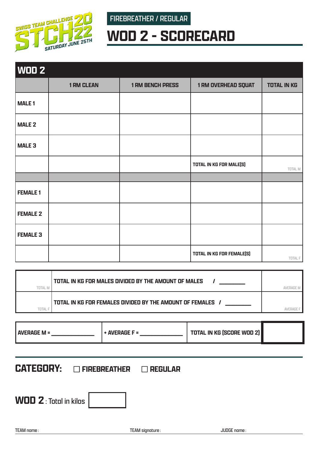

FIREBREATHER / REGULAR

# **WOD 2 - SCORECARD**

| WOD 2           |                   |                         |                                  |                    |
|-----------------|-------------------|-------------------------|----------------------------------|--------------------|
|                 | <b>1 RM CLEAN</b> | <b>1 RM BENCH PRESS</b> | <b>1 RM OVERHEAD SQUAT</b>       | <b>TOTAL IN KG</b> |
| <b>MALE1</b>    |                   |                         |                                  |                    |
| <b>MALE 2</b>   |                   |                         |                                  |                    |
| <b>MALE 3</b>   |                   |                         |                                  |                    |
|                 |                   |                         | <b>TOTAL IN KG FOR MALE(S)</b>   | TOTAL M            |
|                 |                   |                         |                                  |                    |
| <b>FEMALE 1</b> |                   |                         |                                  |                    |
| <b>FEMALE 2</b> |                   |                         |                                  |                    |
| <b>FEMALE 3</b> |                   |                         |                                  |                    |
|                 |                   |                         | <b>TOTAL IN KG FOR FEMALE(S)</b> | TOTAL F            |

| TOTAL | TOTAL IN KG FOR MALES DIVIDED BY THE AMOUNT OF MALES     |  |
|-------|----------------------------------------------------------|--|
| TOTA  | TOTAL IN KG FOR FEMALES DIVIDED BY THE AMOUNT OF FEMALES |  |

| <b>AVERAGE M =</b> |  | <b>TOTAL IN KG (SCORE WOD 2)</b> |  |
|--------------------|--|----------------------------------|--|
|--------------------|--|----------------------------------|--|

**CATEGORY:** □ FIREBREATHER □ REGULAR

**WOD 2**: Total in kilos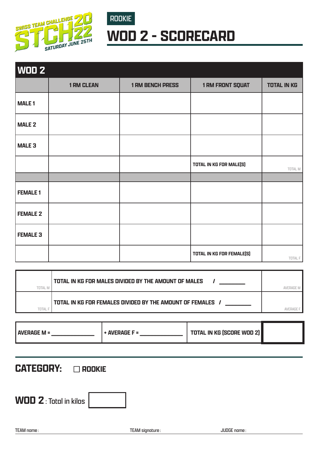

## ROOKIE **WOD 2 - SCORECARD**

| <b>WOD 2</b>    |                   |                         |                                |                    |
|-----------------|-------------------|-------------------------|--------------------------------|--------------------|
|                 | <b>1 RM CLEAN</b> | <b>1 RM BENCH PRESS</b> | <b>1 RM FRONT SQUAT</b>        | <b>TOTAL IN KG</b> |
| <b>MALE1</b>    |                   |                         |                                |                    |
| <b>MALE 2</b>   |                   |                         |                                |                    |
| <b>MALE 3</b>   |                   |                         |                                |                    |
|                 |                   |                         | <b>TOTAL IN KG FOR MALE(S)</b> | TOTAL M            |
|                 |                   |                         |                                |                    |
| <b>FEMALE 1</b> |                   |                         |                                |                    |
| <b>FEMALE 2</b> |                   |                         |                                |                    |
| <b>FEMALE 3</b> |                   |                         |                                |                    |
|                 |                   |                         | TOTAL IN KG FOR FEMALE(S)      | TOTAL F            |

| <b>TOTAL N</b> | TOTAL IN KG FOR MALES DIVIDED BY THE AMOUNT OF MALES     |  |
|----------------|----------------------------------------------------------|--|
|                | TOTAL IN KG FOR FEMALES DIVIDED BY THE AMOUNT OF FEMALES |  |

| <b>AVERAGE M =</b> | $+$ AVERAGE F = | <b>TOTAL IN KG (SCORE WOD 2)</b> |  |
|--------------------|-----------------|----------------------------------|--|
|--------------------|-----------------|----------------------------------|--|

### **CATEGORY: CROOKIE**

**WOD 2**: Total in kilos

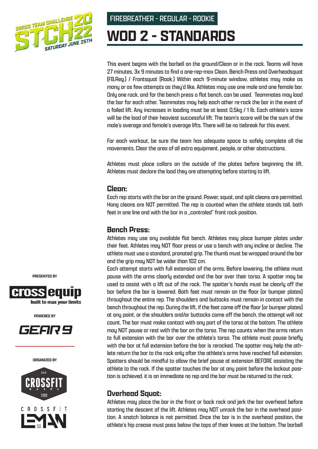

FIREBREATHER - REGULAR - ROOKIE

# **WOD 2 - STANDARDS**

This event begins with the barbell on the ground/Clean or in the rack. Teams will have 27 minutes, 3x 9 minutes to find a one-rep-max Clean, Bench Press and Overheadsquat (FB,Reg.) / Frontsquat (Rook.) Within each 9-minute window, athletes may make as many or as few attempts as they'd like. Athletes may use one male and one female bar. Only one rack, and for the bench press a flat bench, can be used. Teammates may load the bar for each other. Teammates may help each other re-rack the bar in the event of a failed lift. Any increases in loading must be at least 0,5kg / 1 lb. Each athlete's score will be the load of their heaviest successful lift. The team's score will be the sum of the male's average and female's average lifts. There will be no tiebreak for this event.

For each workout, be sure the team has adequate space to safely complete all the movements. Clear the area of all extra equipment, people, or other obstructions.

Athletes must place collars on the outside of the plates before beginning the lift. Athletes must declare the load they are attempting before starting to lift.

#### **Clean:**

Each rep starts with the bar on the ground. Power, squat, and split cleans are permitted. Hang cleans are NOT permitted. The rep is counted when the athlete stands tall, both feet in one line and with the bar in a "controled" front rack position.

#### **Bench Press:**

Athletes may use any available flat bench. Athletes may place bumper plates under their feet. Athletes may NOT floor press or use a bench with any incline or decline. The athlete must use a standard, pronated grip. The thumb must be wrapped around the bar and the grip may NOT be wider than 102 cm.

Each attempt starts with full extension of the arms. Before lowering, the athlete must pause with the arms clearly extended and the bar over their torso. A spotter may be used to assist with a lift out of the rack. The spotter's hands must be clearly off the bar before the bar is lowered. Both feet must remain on the floor (or bumper plates) throughout the entire rep. The shoulders and buttocks must remain in contact with the bench throughout the rep. During the lift, if the feet come off the floor (or bumper plates) at any point, or the shoulders and/or buttocks come off the bench, the attempt will not count. The bar must make contact with any part of the torso at the bottom. The athlete may NOT pause or rest with the bar on the torso. The rep counts when the arms return to full extension with the bar over the athlete's torso. The athlete must pause briefly with the bar at full extension before the bar is reracked. The spotter may help the athlete return the bar to the rack only after the athlete's arms have reached full extension. Spotters should be mindful to allow the brief pause at extension BEFORE assisting the athlete to the rack. If the spotter touches the bar at any point before the lockout position is achieved, it is an immediate no rep and the bar must be returned to the rack.

### **Overhead Squat:**

Athletes may place the bar in the front or back rack and jerk the bar overhead before starting the descent of the lift. Athletes may NOT unrack the bar in the overhead position. A snatch balance is not permitted. Once the bar is in the overhead position, the athlete's hip crease must pass below the tops of their knees at the bottom. The barbell

**PRESENTED BY**